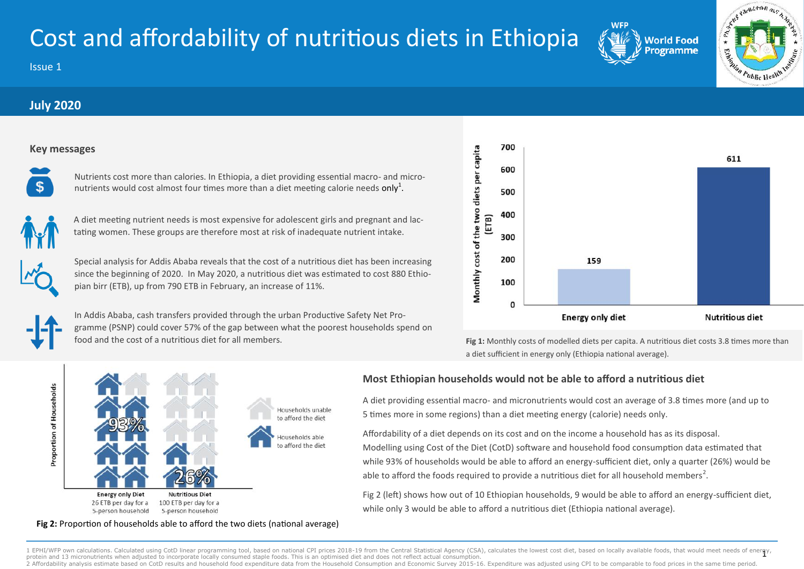# Cost and affordability of nutritious diets in Ethiopia

Issue 1

# **July 2020**

### **Key messages**



Nutrients cost more than calories. In Ethiopia, a diet providing essential macro- and micronutrients would cost almost four times more than a diet meeting calorie needs only<sup>1</sup>.



A diet meeting nutrient needs is most expensive for adolescent girls and pregnant and lactating women. These groups are therefore most at risk of inadequate nutrient intake.

Special analysis for Addis Ababa reveals that the cost of a nutritious diet has been increasing since the beginning of 2020. In May 2020, a nutritious diet was estimated to cost 880 Ethiopian birr (ETB), up from 790 ETB in February, an increase of 11%.



In Addis Ababa, cash transfers provided through the urban Productive Safety Net Programme (PSNP) could cover 57% of the gap between what the poorest households spend on food and the cost of a nutritious diet for all members.



earneron ms

Public Health

 $\mathbf{r}$ 

**World Food** rogramme

**Fig 1:** Monthly costs of modelled diets per capita. A nutritious diet costs 3.8 times more than a diet sufficient in energy only (Ethiopia national average).



## **Most Ethiopian households would not be able to afford a nutritious diet**

A diet providing essential macro- and micronutrients would cost an average of 3.8 times more (and up to 5 times more in some regions) than a diet meeting energy (calorie) needs only.

Affordability of a diet depends on its cost and on the income a household has as its disposal. Modelling using Cost of the Diet (CotD) software and household food consumption data estimated that while 93% of households would be able to afford an energy-sufficient diet, only a quarter (26%) would be able to afford the foods required to provide a nutritious diet for all household members<sup>2</sup>.

Fig 2 (left) shows how out of 10 Ethiopian households, 9 would be able to afford an energy-sufficient diet, while only 3 would be able to afford a nutritious diet (Ethiopia national average).

#### **Fig 2:** Proportion of households able to afford the two diets (national average)

1 EPHI/WFP own calculations. Calculated using CotD linear programming tool, based on national CPI prices 2018-19 from the Central Statistical Agency (CSA), calculates the lowest cost diet, based on locally available foods, protein and 13 micronutrients when adjusted to incorporate locally consumed staple foods. This is an optimised diet and does not reflect actual consumption 2 Affordability analysis estimate based on CotD results and household food expenditure data from the Household Consumption and Economic Survey 2015-16. Expenditure was adjusted using CPI to be comparable to food prices in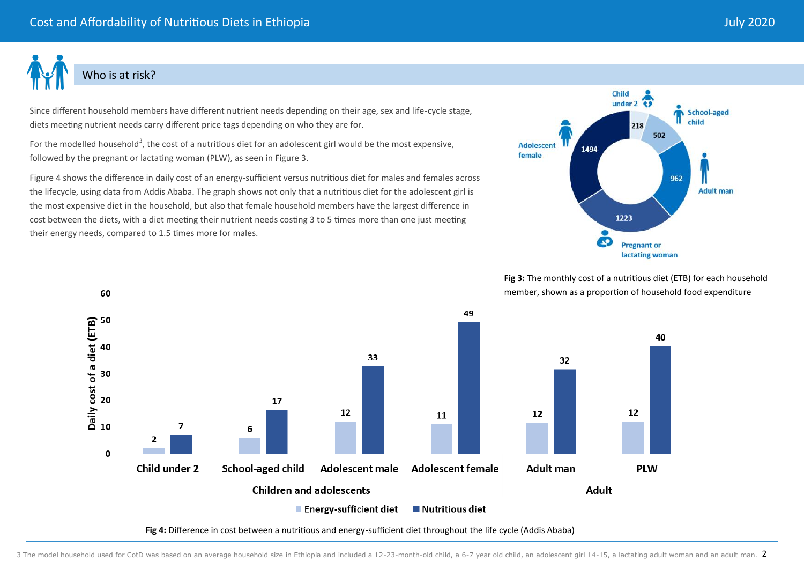

# Who is at risk?

60

Since different household members have different nutrient needs depending on their age, sex and life-cycle stage, diets meeting nutrient needs carry different price tags depending on who they are for.

For the modelled household<sup>3</sup>, the cost of a nutritious diet for an adolescent girl would be the most expensive, followed by the pregnant or lactating woman (PLW), as seen in Figure 3.

Figure 4 shows the difference in daily cost of an energy-sufficient versus nutritious diet for males and females across the lifecycle, using data from Addis Ababa. The graph shows not only that a nutritious diet for the adolescent girl is the most expensive diet in the household, but also that female household members have the largest difference in cost between the diets, with a diet meeting their nutrient needs costing 3 to 5 times more than one just meeting their energy needs, compared to 1.5 times more for males.



**Fig 3:** The monthly cost of a nutritious diet (ETB) for each household member, shown as a proportion of household food expenditure



**Fig 4:** Difference in cost between a nutritious and energy-sufficient diet throughout the life cycle (Addis Ababa)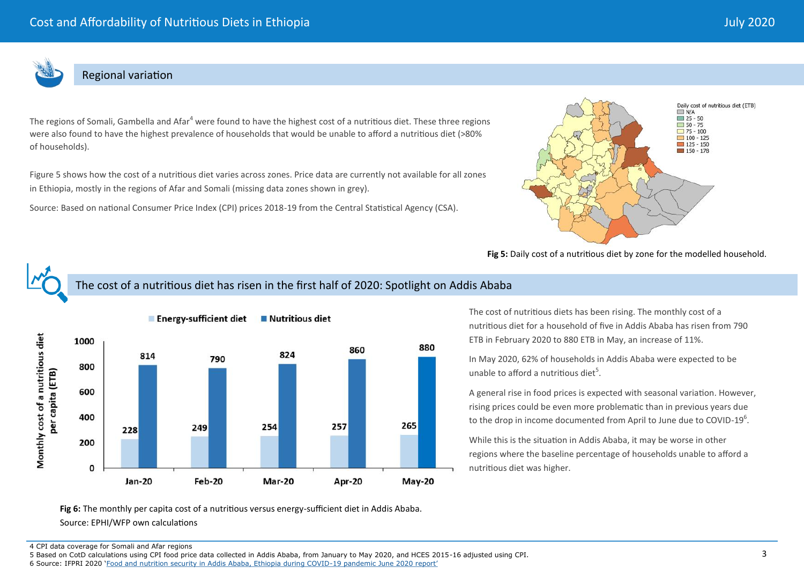

## Regional variation

The regions of Somali, Gambella and Afar<sup>4</sup> were found to have the highest cost of a nutritious diet. These three regions were also found to have the highest prevalence of households that would be unable to afford a nutritious diet (>80% of households).

Figure 5 shows how the cost of a nutritious diet varies across zones. Price data are currently not available for all zones in Ethiopia, mostly in the regions of Afar and Somali (missing data zones shown in grey).

Source: Based on national Consumer Price Index (CPI) prices 2018-19 from the Central Statistical Agency (CSA).



Fig 5: Daily cost of a nutritious diet by zone for the modelled household.

# The cost of a nutritious diet has risen in the first half of 2020: Spotlight on Addis Ababa



The cost of nutritious diets has been rising. The monthly cost of a nutritious diet for a household of five in Addis Ababa has risen from 790 ETB in February 2020 to 880 ETB in May, an increase of 11%.

In May 2020, 62% of households in Addis Ababa were expected to be unable to afford a nutritious diet $5$ .

A general rise in food prices is expected with seasonal variation. However, rising prices could be even more problematic than in previous years due to the drop in income documented from April to June due to COVID-19 $^6$ .

While this is the situation in Addis Ababa, it may be worse in other regions where the baseline percentage of households unable to afford a nutritious diet was higher.

**Fig 6:** The monthly per capita cost of a nutritious versus energy-sufficient diet in Addis Ababa. Source: EPHI/WFP own calculations

4 CPI data coverage for Somali and Afar regions

5 Based on CotD calculations using CPI food price data collected in Addis Ababa, from January to May 2020, and HCES 2015-16 adjusted using CPI. 6 Source: IFPRI 2020 '[Food and nutrition security in Addis Ababa, Ethiopia during COVID](http://ebrary.ifpri.org/utils/getfile/collection/p15738coll2/id/133766/filename/133976.pdf)-19 pandemic June 2020 report'